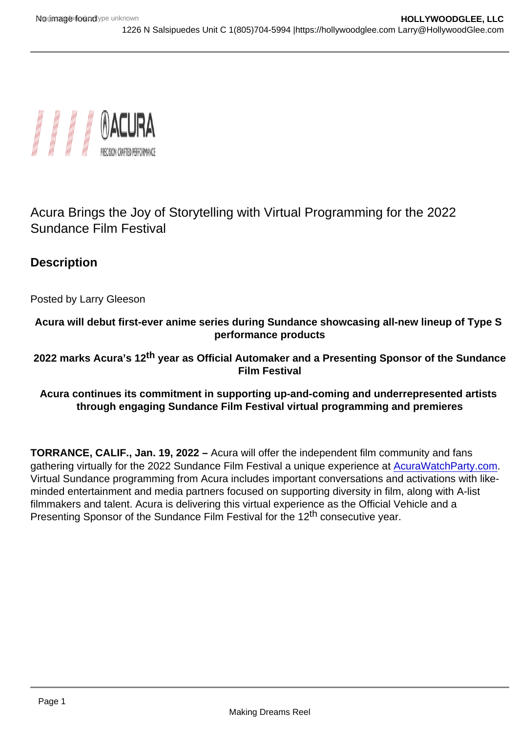## Acura Brings the Joy of Storytelling with Virtual Programming for the 2022 Sundance Film Festival

**Description** 

Posted by Larry Gleeson

Acura will debut first-ever anime series during Sundance showcasing all-new lineup of Type S performance products

2022 marks Acura's 12 <sup>th</sup> year as Official Automaker and a Presenting Sponsor of the Sundance Film Festival

Acura continues its commitment in supporting up-and-coming and underrepresented artists through engaging Sundance Film Festival virtual programming and premieres

TORRANCE, CALIF., Jan. 19, 2022 – Acura will offer the independent film community and fans gathering virtually for the 2022 Sundance Film Festival a unique experience at [AcuraWatchParty.com.](http://acurawatchparty.com/) Virtual Sundance programming from Acura includes important conversations and activations with likeminded entertainment and media partners focused on supporting diversity in film, along with A-list filmmakers and talent. Acura is delivering this virtual experience as the Official Vehicle and a Presenting Sponsor of the Sundance Film Festival for the 12<sup>th</sup> consecutive year.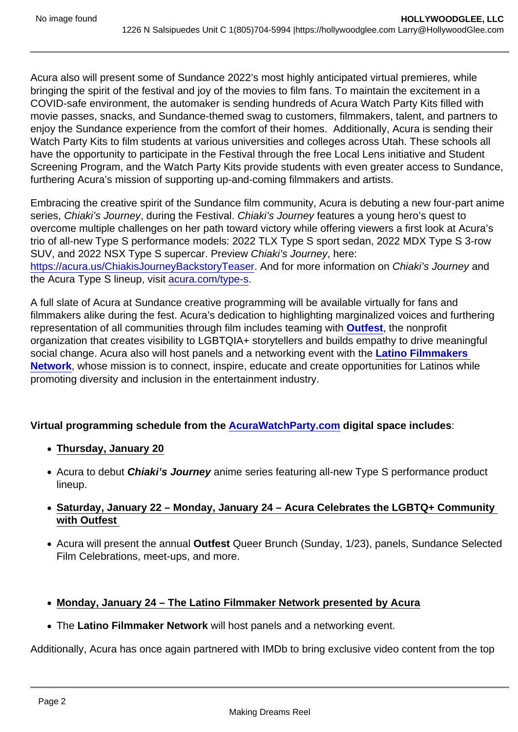Acura also will present some of Sundance 2022's most highly anticipated virtual premieres, while bringing the spirit of the festival and joy of the movies to film fans. To maintain the excitement in a COVID-safe environment, the automaker is sending hundreds of Acura Watch Party Kits filled with movie passes, snacks, and Sundance-themed swag to customers, filmmakers, talent, and partners to enjoy the Sundance experience from the comfort of their homes. Additionally, Acura is sending their Watch Party Kits to film students at various universities and colleges across Utah. These schools all have the opportunity to participate in the Festival through the free Local Lens initiative and Student Screening Program, and the Watch Party Kits provide students with even greater access to Sundance, furthering Acura's mission of supporting up-and-coming filmmakers and artists.

Embracing the creative spirit of the Sundance film community, Acura is debuting a new four-part anime series, Chiaki's Journey, during the Festival. Chiaki's Journey features a young hero's quest to overcome multiple challenges on her path toward victory while offering viewers a first look at Acura's trio of all-new Type S performance models: 2022 TLX Type S sport sedan, 2022 MDX Type S 3-row SUV, and 2022 NSX Type S supercar. Preview Chiaki's Journey, here: <https://acura.us/ChiakisJourneyBackstoryTeaser>. And for more information on Chiaki's Journey and the Acura Type S lineup, visit [acura.com/type-s.](https://www.acura.com/type-s)

A full slate of Acura at Sundance creative programming will be available virtually for fans and filmmakers alike during the fest. Acura's dedication to highlighting marginalized voices and furthering representation of all communities through film includes teaming with [Outfest](http://www.outfest.org) , the nonprofit organization that creates visibility to LGBTQIA+ storytellers and builds empathy to drive meaningful social change. Acura also will host panels and a networking event with the Latino Filmmakers Network , whose mission is to connect, inspire, educate and create opportunities for Latinos while promoting diversity and inclusion in the entertainment industry.

Virtual programming schedule from the [AcuraWatchParty.com](http://acurawatchparty.com/) digital space includes :

- Thursday, January 20
- Acura to debut Chiaki's Journey anime series featuring all-new Type S performance product lineup.
- Saturday, January 22 Monday, January 24 Acura Celebrates the LGBTQ+ Community with Outfest
- Acura will present the annual Outfest Queer Brunch (Sunday, 1/23), panels, Sundance Selected Film Celebrations, meet-ups, and more.
- Monday, January 24 The Latino Filmmaker Network presented by Acura
- The Latino Filmmaker Network will host panels and a networking event.

Additionally, Acura has once again partnered with IMDb to bring exclusive video content from the top